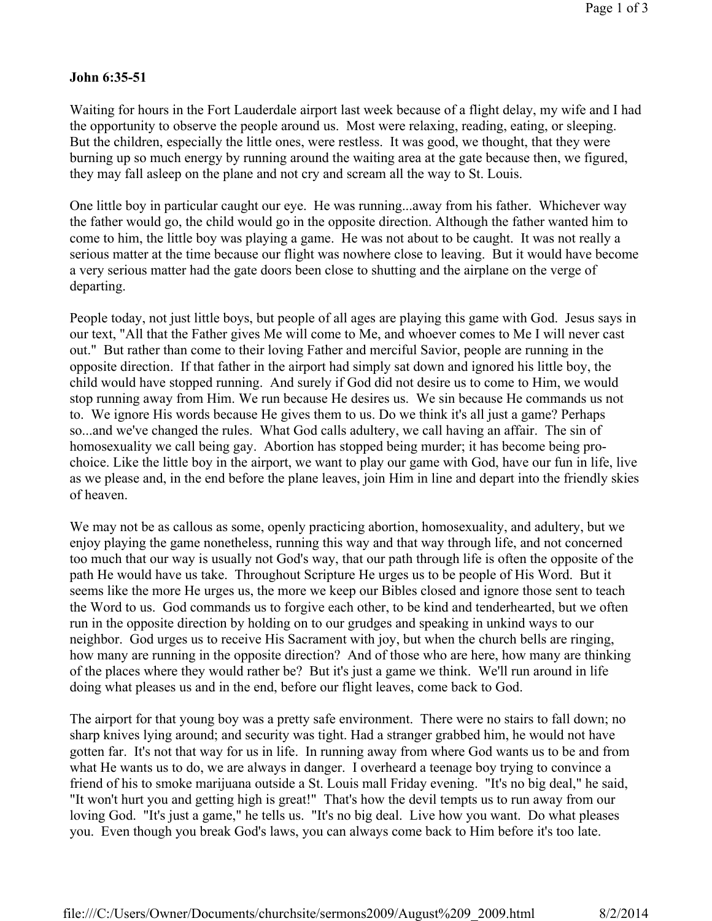## **John 6:35-51**

Waiting for hours in the Fort Lauderdale airport last week because of a flight delay, my wife and I had the opportunity to observe the people around us. Most were relaxing, reading, eating, or sleeping. But the children, especially the little ones, were restless. It was good, we thought, that they were burning up so much energy by running around the waiting area at the gate because then, we figured, they may fall asleep on the plane and not cry and scream all the way to St. Louis.

One little boy in particular caught our eye. He was running...away from his father. Whichever way the father would go, the child would go in the opposite direction. Although the father wanted him to come to him, the little boy was playing a game. He was not about to be caught. It was not really a serious matter at the time because our flight was nowhere close to leaving. But it would have become a very serious matter had the gate doors been close to shutting and the airplane on the verge of departing.

People today, not just little boys, but people of all ages are playing this game with God. Jesus says in our text, "All that the Father gives Me will come to Me, and whoever comes to Me I will never cast out." But rather than come to their loving Father and merciful Savior, people are running in the opposite direction. If that father in the airport had simply sat down and ignored his little boy, the child would have stopped running. And surely if God did not desire us to come to Him, we would stop running away from Him. We run because He desires us. We sin because He commands us not to. We ignore His words because He gives them to us. Do we think it's all just a game? Perhaps so...and we've changed the rules. What God calls adultery, we call having an affair. The sin of homosexuality we call being gay. Abortion has stopped being murder; it has become being prochoice. Like the little boy in the airport, we want to play our game with God, have our fun in life, live as we please and, in the end before the plane leaves, join Him in line and depart into the friendly skies of heaven.

We may not be as callous as some, openly practicing abortion, homosexuality, and adultery, but we enjoy playing the game nonetheless, running this way and that way through life, and not concerned too much that our way is usually not God's way, that our path through life is often the opposite of the path He would have us take. Throughout Scripture He urges us to be people of His Word. But it seems like the more He urges us, the more we keep our Bibles closed and ignore those sent to teach the Word to us. God commands us to forgive each other, to be kind and tenderhearted, but we often run in the opposite direction by holding on to our grudges and speaking in unkind ways to our neighbor. God urges us to receive His Sacrament with joy, but when the church bells are ringing, how many are running in the opposite direction? And of those who are here, how many are thinking of the places where they would rather be? But it's just a game we think. We'll run around in life doing what pleases us and in the end, before our flight leaves, come back to God.

The airport for that young boy was a pretty safe environment. There were no stairs to fall down; no sharp knives lying around; and security was tight. Had a stranger grabbed him, he would not have gotten far. It's not that way for us in life. In running away from where God wants us to be and from what He wants us to do, we are always in danger. I overheard a teenage boy trying to convince a friend of his to smoke marijuana outside a St. Louis mall Friday evening. "It's no big deal," he said, "It won't hurt you and getting high is great!" That's how the devil tempts us to run away from our loving God. "It's just a game," he tells us. "It's no big deal. Live how you want. Do what pleases you. Even though you break God's laws, you can always come back to Him before it's too late.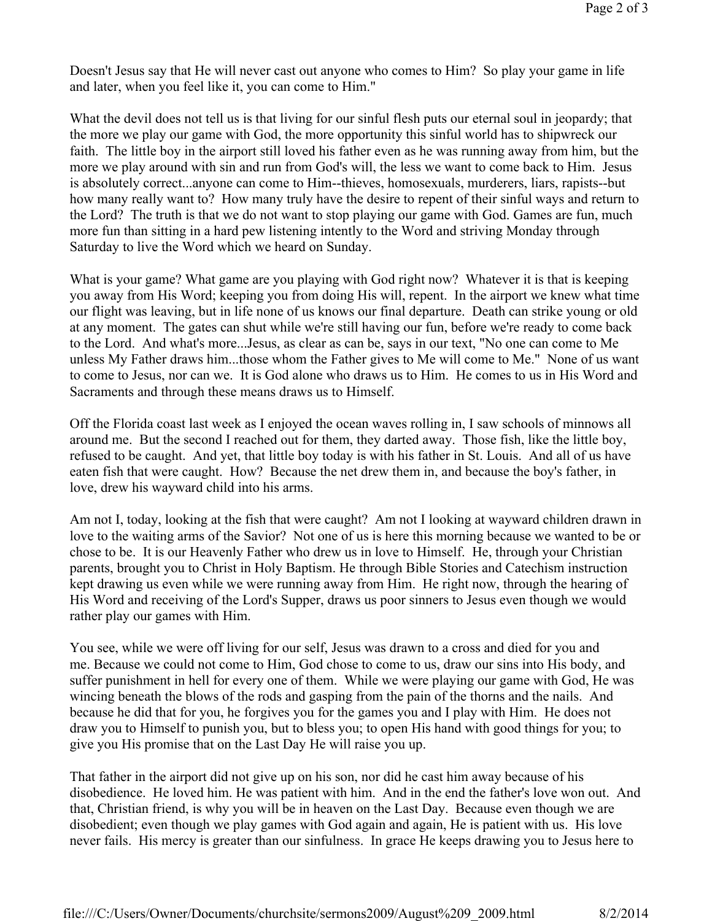Doesn't Jesus say that He will never cast out anyone who comes to Him? So play your game in life and later, when you feel like it, you can come to Him."

What the devil does not tell us is that living for our sinful flesh puts our eternal soul in jeopardy; that the more we play our game with God, the more opportunity this sinful world has to shipwreck our faith. The little boy in the airport still loved his father even as he was running away from him, but the more we play around with sin and run from God's will, the less we want to come back to Him. Jesus is absolutely correct...anyone can come to Him--thieves, homosexuals, murderers, liars, rapists--but how many really want to? How many truly have the desire to repent of their sinful ways and return to the Lord? The truth is that we do not want to stop playing our game with God. Games are fun, much more fun than sitting in a hard pew listening intently to the Word and striving Monday through Saturday to live the Word which we heard on Sunday.

What is your game? What game are you playing with God right now? Whatever it is that is keeping you away from His Word; keeping you from doing His will, repent. In the airport we knew what time our flight was leaving, but in life none of us knows our final departure. Death can strike young or old at any moment. The gates can shut while we're still having our fun, before we're ready to come back to the Lord. And what's more...Jesus, as clear as can be, says in our text, "No one can come to Me unless My Father draws him...those whom the Father gives to Me will come to Me." None of us want to come to Jesus, nor can we. It is God alone who draws us to Him. He comes to us in His Word and Sacraments and through these means draws us to Himself.

Off the Florida coast last week as I enjoyed the ocean waves rolling in, I saw schools of minnows all around me. But the second I reached out for them, they darted away. Those fish, like the little boy, refused to be caught. And yet, that little boy today is with his father in St. Louis. And all of us have eaten fish that were caught. How? Because the net drew them in, and because the boy's father, in love, drew his wayward child into his arms.

Am not I, today, looking at the fish that were caught? Am not I looking at wayward children drawn in love to the waiting arms of the Savior? Not one of us is here this morning because we wanted to be or chose to be. It is our Heavenly Father who drew us in love to Himself. He, through your Christian parents, brought you to Christ in Holy Baptism. He through Bible Stories and Catechism instruction kept drawing us even while we were running away from Him. He right now, through the hearing of His Word and receiving of the Lord's Supper, draws us poor sinners to Jesus even though we would rather play our games with Him.

You see, while we were off living for our self, Jesus was drawn to a cross and died for you and me. Because we could not come to Him, God chose to come to us, draw our sins into His body, and suffer punishment in hell for every one of them. While we were playing our game with God, He was wincing beneath the blows of the rods and gasping from the pain of the thorns and the nails. And because he did that for you, he forgives you for the games you and I play with Him. He does not draw you to Himself to punish you, but to bless you; to open His hand with good things for you; to give you His promise that on the Last Day He will raise you up.

That father in the airport did not give up on his son, nor did he cast him away because of his disobedience. He loved him. He was patient with him. And in the end the father's love won out. And that, Christian friend, is why you will be in heaven on the Last Day. Because even though we are disobedient; even though we play games with God again and again, He is patient with us. His love never fails. His mercy is greater than our sinfulness. In grace He keeps drawing you to Jesus here to